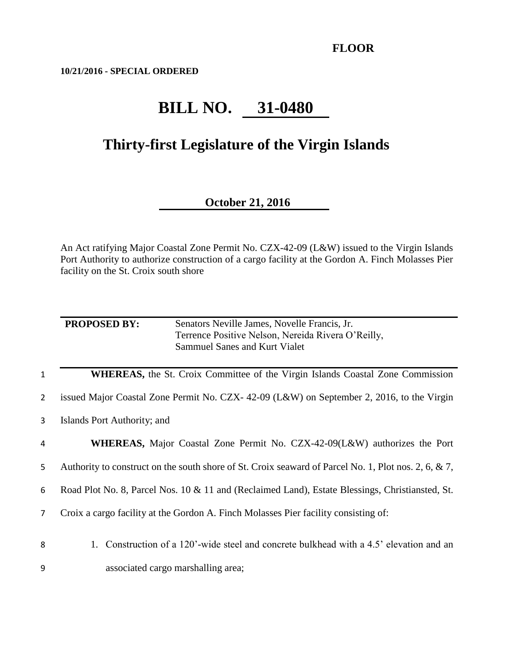**10/21/2016 - SPECIAL ORDERED**

## **BILL NO. 31-0480**

## **Thirty-first Legislature of the Virgin Islands**

## **October 21, 2016**

An Act ratifying Major Coastal Zone Permit No. CZX-42-09 (L&W) issued to the Virgin Islands Port Authority to authorize construction of a cargo facility at the Gordon A. Finch Molasses Pier facility on the St. Croix south shore

| <b>PROPOSED BY:</b> | Senators Neville James, Novelle Francis, Jr.       |
|---------------------|----------------------------------------------------|
|                     | Terrence Positive Nelson, Nereida Rivera O'Reilly, |
|                     | Sammuel Sanes and Kurt Vialet                      |
|                     |                                                    |

1 **WHEREAS,** the St. Croix Committee of the Virgin Islands Coastal Zone Commission

2 issued Major Coastal Zone Permit No. CZX- 42-09 (L&W) on September 2, 2016, to the Virgin

- 3 Islands Port Authority; and
- 4 **WHEREAS,** Major Coastal Zone Permit No. CZX-42-09(L&W) authorizes the Port

5 Authority to construct on the south shore of St. Croix seaward of Parcel No. 1, Plot nos. 2, 6, & 7,

6 Road Plot No. 8, Parcel Nos. 10 & 11 and (Reclaimed Land), Estate Blessings, Christiansted, St.

7 Croix a cargo facility at the Gordon A. Finch Molasses Pier facility consisting of:

8 1. Construction of a 120'-wide steel and concrete bulkhead with a 4.5' elevation and an

9 associated cargo marshalling area;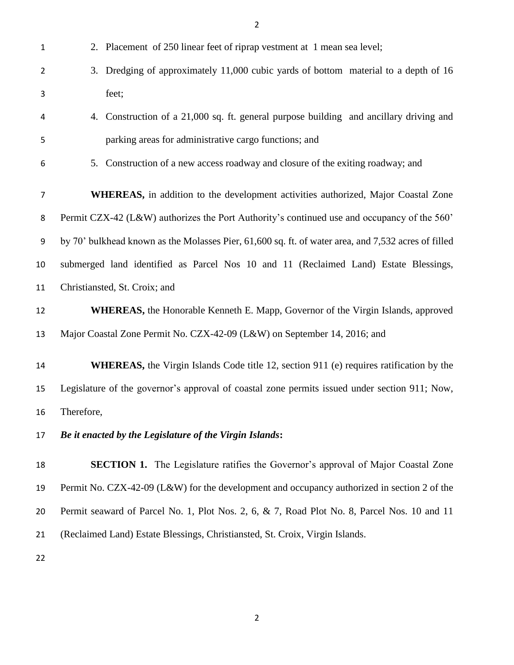| $\mathbf{1}$   | 2. Placement of 250 linear feet of riprap vestment at 1 mean sea level;                             |
|----------------|-----------------------------------------------------------------------------------------------------|
| $\overline{2}$ | Dredging of approximately 11,000 cubic yards of bottom material to a depth of 16<br>3.              |
| 3              | feet;                                                                                               |
| 4              | 4. Construction of a 21,000 sq. ft. general purpose building and ancillary driving and              |
| 5              | parking areas for administrative cargo functions; and                                               |
| 6              | 5. Construction of a new access roadway and closure of the exiting roadway; and                     |
| $\overline{7}$ | WHEREAS, in addition to the development activities authorized, Major Coastal Zone                   |
| 8              | Permit CZX-42 (L&W) authorizes the Port Authority's continued use and occupancy of the 560'         |
| 9              | by 70' bulkhead known as the Molasses Pier, 61,600 sq. ft. of water area, and 7,532 acres of filled |
| 10             | submerged land identified as Parcel Nos 10 and 11 (Reclaimed Land) Estate Blessings,                |
| 11             | Christiansted, St. Croix; and                                                                       |
| 12             | WHEREAS, the Honorable Kenneth E. Mapp, Governor of the Virgin Islands, approved                    |
| 13             | Major Coastal Zone Permit No. CZX-42-09 (L&W) on September 14, 2016; and                            |
| 14             | <b>WHEREAS</b> , the Virgin Islands Code title 12, section 911 (e) requires ratification by the     |
| 15             | Legislature of the governor's approval of coastal zone permits issued under section 911; Now,       |
| 16             | Therefore,                                                                                          |
| 17             | Be it enacted by the Legislature of the Virgin Islands:                                             |
| 18             | <b>SECTION 1.</b> The Legislature ratifies the Governor's approval of Major Coastal Zone            |
| 19             | Permit No. CZX-42-09 (L&W) for the development and occupancy authorized in section 2 of the         |
| 20             | Permit seaward of Parcel No. 1, Plot Nos. 2, 6, & 7, Road Plot No. 8, Parcel Nos. 10 and 11         |
| 21             | (Reclaimed Land) Estate Blessings, Christiansted, St. Croix, Virgin Islands.                        |
| 22             |                                                                                                     |